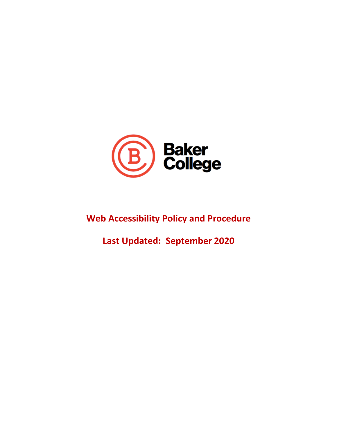

# **Web Accessibility Policy and Procedure**

**Last Updated: September 2020**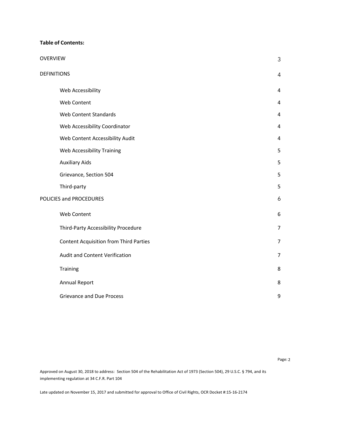#### **Table of Contents:**

| <b>OVERVIEW</b>                               | 3              |
|-----------------------------------------------|----------------|
| <b>DEFINITIONS</b>                            | 4              |
| Web Accessibility                             | 4              |
| Web Content                                   | 4              |
| <b>Web Content Standards</b>                  | 4              |
| Web Accessibility Coordinator                 | 4              |
| Web Content Accessibility Audit               | 4              |
| Web Accessibility Training                    | 5              |
| <b>Auxiliary Aids</b>                         | 5              |
| Grievance, Section 504                        | 5              |
| Third-party                                   | 5              |
| POLICIES and PROCEDURES                       | 6              |
| Web Content                                   | 6              |
| Third-Party Accessibility Procedure           | $\overline{7}$ |
| <b>Content Acquisition from Third Parties</b> | 7              |
| Audit and Content Verification                | $\overline{7}$ |
| Training                                      | 8              |
| Annual Report                                 | 8              |
| <b>Grievance and Due Process</b>              | 9              |

Page: 2

 Approved on August 30, 2018 to address: Section 504 of the Rehabilitation Act of 1973 (Section 504), 29 U.S.C. § 794, and its implementing regulation at 34 C.F.R. Part 104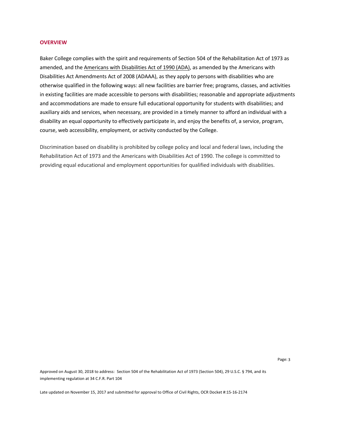#### **OVERVIEW**

 Baker College complies with the spirit and requirements of Section 504 of the Rehabilitation Act of 1973 as amended, and the Americans with Disabilities Act of 1990 (ADA), as amended by the Americans with Disabilities Act Amendments Act of 2008 (ADAAA), as they apply to persons with disabilities who are otherwise qualified in the following ways: all new facilities are barrier free; programs, classes, and activities and accommodations are made to ensure full educational opportunity for students with disabilities; and auxiliary aids and services, when necessary, are provided in a timely manner to afford an individual with a disability an equal opportunity to effectively participate in, and enjoy the benefits of, a service, program, course, web accessibility, employment, or activity conducted by the College. in existing facilities are made accessible to persons with disabilities; reasonable and appropriate adjustments

 Rehabilitation Act of 1973 and the Americans with Disabilities Act of 1990. The college is committed to providing equal educational and employment opportunities for qualified individuals with disabilities. Discrimination based on disability is prohibited by college policy and local and federal laws, including the

Page: 3

 Approved on August 30, 2018 to address: Section 504 of the Rehabilitation Act of 1973 (Section 504), 29 U.S.C. § 794, and its implementing regulation at 34 C.F.R. Part 104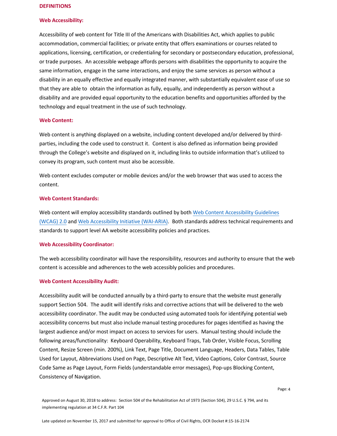#### **DEFINITIONS**

#### **Web Accessibility:**

 same information, engage in the same interactions, and enjoy the same services as person without a disability in an equally effective and equally integrated manner, with substantially equivalent ease of use so that they are able to obtain the information as fully, equally, and independently as person without a disability and are provided equal opportunity to the education benefits and opportunities afforded by the technology and equal treatment in the use of such technology. Accessibility of web content for Title III of the Americans with Disabilities Act, which applies to public accommodation, commercial facilities; or private entity that offers examinations or courses related to applications, licensing, certification, or credentialing for secondary or postsecondary education, professional, or trade purposes. An accessible webpage affords persons with disabilities the opportunity to acquire the

### **Web Content:**

 Web content is anything displayed on a website, including content developed and/or delivered by third- through the College's website and displayed on it, including links to outside information that's utilized to parties, including the code used to construct it. Content is also defined as information being provided convey its program, such content must also be accessible.

 Web content excludes computer or mobile devices and/or the web browser that was used to access the content.

## **Web Content Standards:**

 standards to support level AA website accessibility policies and practices. Web content will employ accessibility standards outlined by both Web Content Accessibility Guidelines (WCAG) 2.0 and Web Accessibility Initiative (WAI-ARIA). Both standards address technical requirements and

#### **Web Accessibility Coordinator:**

 The web accessibility coordinator will have the responsibility, resources and authority to ensure that the web content is accessible and adherences to the web accessibly policies and procedures.

#### **Web Content Accessibility Audit:**

 Consistency of Navigation. Accessibility audit will be conducted annually by a third-party to ensure that the website must generally accessibility coordinator. The audit may be conducted using automated tools for identifying potential web accessibility concerns but must also include manual testing procedures for pages identified as having the largest audience and/or most impact on access to services for users. Manual testing should include the support Section 504. The audit will identify risks and corrective actions that will be delivered to the web following areas/functionality: Keyboard Operability, Keyboard Traps, Tab Order, Visible Focus, Scrolling Content, Resize Screen (min. 200%), Link Text, Page Title, Document Language, Headers, Data Tables, Table Used for Layout, Abbreviations Used on Page, Descriptive Alt Text, Video Captions, Color Contrast, Source Code Same as Page Layout, Form Fields (understandable error messages), Pop-ups Blocking Content,

Page: 4

Approved on August 30, 2018 to address: Section 504 of the Rehabilitation Act of 1973 (Section 504), 29 U.S.C. § 794, and its implementing regulation at 34 C.F.R. Part 104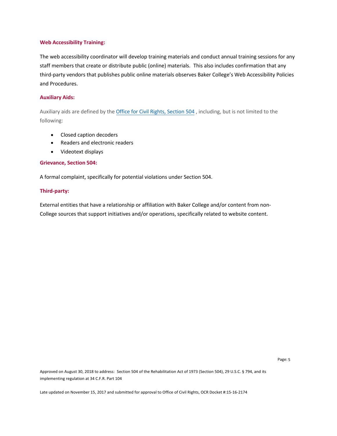#### **Web Accessibility Training:**

 The web accessibility coordinator will develop training materials and conduct annual training sessions for any staff members that create or distribute public (online) materials. This also includes confirmation that any third-party vendors that publishes public online materials observes Baker College's Web Accessibility Policies and Procedures.

#### **Auxiliary Aids:**

Auxiliary aids are defined by the Office for Civil Rights, Section 504, including, but is not limited to the following:

- Closed caption decoders
- Readers and electronic readers
- Videotext displays

#### **Grievance, Section 504:**

A formal complaint, specifically for potential violations under Section 504.

#### **Third-party:**

 External entities that have a relationship or affiliation with Baker College and/or content from non-College sources that support initiatives and/or operations, specifically related to website content.

Page: 5

 Approved on August 30, 2018 to address: Section 504 of the Rehabilitation Act of 1973 (Section 504), 29 U.S.C. § 794, and its implementing regulation at 34 C.F.R. Part 104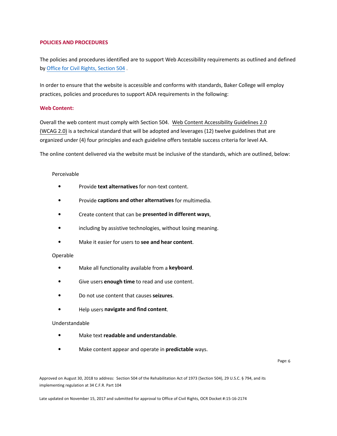#### **POLICIES AND PROCEDURES**

 The policies and procedures identified are to support Web Accessibility requirements as outlined and defined by Office for Civil Rights, Section 504.

 In order to ensure that the website is accessible and conforms with standards, Baker College will employ practices, policies and procedures to support ADA requirements in the following:

#### **Web Content:**

 Overall the web content must comply with Section 504. Web Content Accessibility Guidelines 2.0 (WCAG 2.0) is a technical standard that will be adopted and leverages (12) twelve guidelines that are organized under (4) four principles and each guideline offers testable success criteria for level AA.

The online content delivered via the website must be inclusive of the standards, which are outlined, below:

#### Perceivable

- Provide **text alternatives** for non-text content.
- Provide **captions and other alternatives** for multimedia.
- Create content that can be **presented in different ways**,
- including by assistive technologies, without losing meaning.
- Make it easier for users to **see and hear content**.

#### Operable

- Make all functionality available from a **keyboard**.
- Give users **enough time** to read and use content.
- Do not use content that causes **seizures**.
- Help users **navigate and find content**.

#### Understandable

- Make text **readable and understandable**.
- Make content appear and operate in **predictable** ways.

Page: 6

Approved on August 30, 2018 to address: Section 504 of the Rehabilitation Act of 1973 (Section 504), 29 U.S.C. § 794, and its implementing regulation at 34 C.F.R. Part 104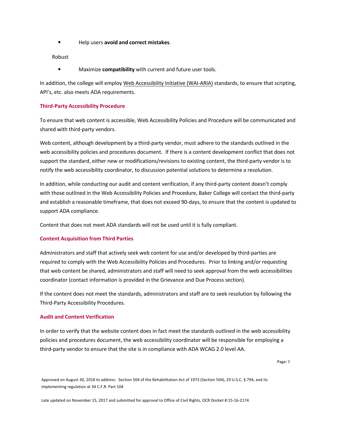• Help users **avoid and correct mistakes**.

Robust

• Maximize **compatibility** with current and future user tools.

In addition, the college will employ Web Accessibility Initiative (WAI-ARIA) standards, to ensure that scripting, API's, etc. also meets ADA requirements.

#### **Third-Party Accessibility Procedure**

 To ensure that web content is accessible, Web Accessibility Policies and Procedure will be communicated and shared with third-party vendors.

 Web content, although development by a third-party vendor, must adhere to the standards outlined in the web accessibility policies and procedures document. If there is a content development conflict that does not support the standard, either new or modifications/revisions to existing content, the third-party vendor is to notify the web accessibility coordinator, to discussion potential solutions to determine a resolution.

 with those outlined in the Web Accessibility Policies and Procedure, Baker College will contact the third-party and establish a reasonable timeframe, that does not exceed 90-days, to ensure that the content is updated to support ADA compliance. In addition, while conducting our audit and content verification, if any third-party content doesn't comply

Content that does not meet ADA standards will not be used until it is fully compliant.

#### **Content Acquisition from Third Parties**

j that web content be shared, administrators and staff will need to seek approval from the web accessibilities coordinator (contact information is provided in the Grievance and Due Process section). Administrators and staff that actively seek web content for use and/or developed by third-parties are required to comply with the Web Accessibility Policies and Procedures. Prior to linking and/or requesting

 If the content does not meet the standards, administrators and staff are to seek resolution by following the Third-Party Accessibility Procedures.

### **Audit and Content Verification**

 In order to verify that the website content does in fact meet the standards outlined in the web accessibility policies and procedures document, the web accessibility coordinator will be responsible for employing a third-party vendor to ensure that the site is in compliance with ADA WCAG 2.0 level AA.

Page: 7

Approved on August 30, 2018 to address: Section 504 of the Rehabilitation Act of 1973 (Section 504), 29 U.S.C. § 794, and its implementing regulation at 34 C.F.R. Part 104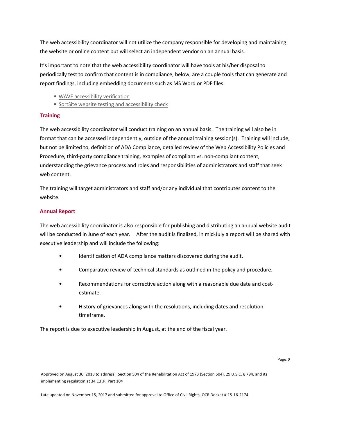The web accessibility coordinator will not utilize the company responsible for developing and maintaining the website or online content but will select an independent vendor on an annual basis.

 It's important to note that the web accessibility coordinator will have tools at his/her disposal to periodically test to confirm that content is in compliance, below, are a couple tools that can generate and report findings, including embedding documents such as MS Word or PDF files:

- WAVE accessibility verification
- SortSite website testing and accessibility check

#### **Training**

 The web accessibility coordinator will conduct training on an annual basis. The training will also be in format that can be accessed independently, outside of the annual training session(s). Training will include, but not be limited to, definition of ADA Compliance, detailed review of the Web Accessibility Policies and Procedure, third-party compliance training, examples of compliant vs. non-compliant content, understanding the grievance process and roles and responsibilities of administrators and staff that seek web content.

 The training will target administrators and staff and/or any individual that contributes content to the website.

#### **Annual Report**

 The web accessibility coordinator is also responsible for publishing and distributing an annual website audit will be conducted in June of each year. After the audit is finalized, in mid-July a report will be shared with executive leadership and will include the following:

- Identification of ADA compliance matters discovered during the audit.
- Comparative review of technical standards as outlined in the policy and procedure.
- • Recommendations for corrective action along with a reasonable due date and costestimate.
- • History of grievances along with the resolutions, including dates and resolution timeframe.

The report is due to executive leadership in August, at the end of the fiscal year.

 Approved on August 30, 2018 to address: Section 504 of the Rehabilitation Act of 1973 (Section 504), 29 U.S.C. § 794, and its implementing regulation at 34 C.F.R. Part 104